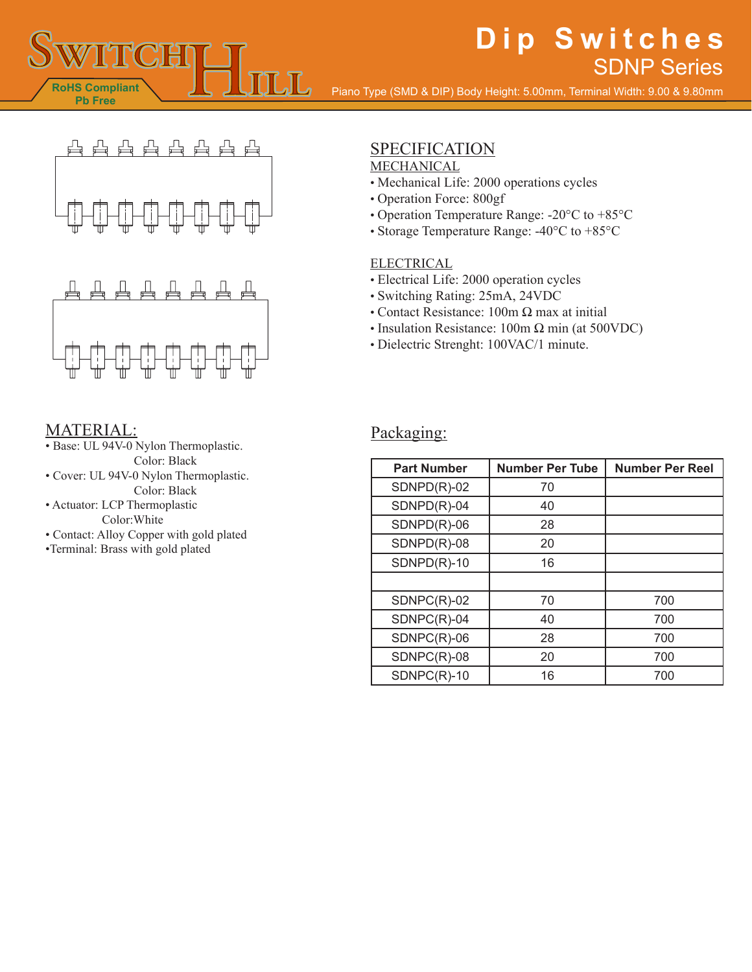# **Dip Switches** SDNP Series

Piano Type (SMD & DIP) Body Height: 5.00mm, Terminal Width: 9.00 & 9.80mm





### MATERIAL:

**RoHS Compliant Pb Free**

- Base: UL 94V-0 Nylon Thermoplastic. Color: Black
- Cover: UL 94V-0 Nylon Thermoplastic. Color: Black
- Actuator: LCP Thermoplastic Color:White
- Contact: Alloy Copper with gold plated
- •Terminal: Brass with gold plated

# SPECIFICATION

#### MECHANICAL

- Mechanical Life: 2000 operations cycles
- Operation Force: 800gf
- Operation Temperature Range: -20°C to +85°C
- Storage Temperature Range: -40°C to +85°C

#### **ELECTRICAL**

- Electrical Life: 2000 operation cycles
- Switching Rating: 25mA, 24VDC
- Contact Resistance: 100m Ω max at initial
- Insulation Resistance: 100m Ω min (at 500VDC)
- Dielectric Strenght: 100VAC/1 minute.

### Packaging:

| <b>Part Number</b> | <b>Number Per Tube</b> | <b>Number Per Reel</b> |
|--------------------|------------------------|------------------------|
| $SDNPD(R)-02$      | 70                     |                        |
| $SDNPD(R)-04$      | 40                     |                        |
| $SDNPD(R)-06$      | 28                     |                        |
| $SDNPD(R)-08$      | 20                     |                        |
| $SDNPD(R)-10$      | 16                     |                        |
|                    |                        |                        |
| $SDNPC(R)-02$      | 70                     | 700                    |
| SDNPC(R)-04        | 40                     | 700                    |
| SDNPC(R)-06        | 28                     | 700                    |
| $SDNPC(R)-08$      | 20                     | 700                    |
| $SDNPC(R)-10$      | 16                     | 700                    |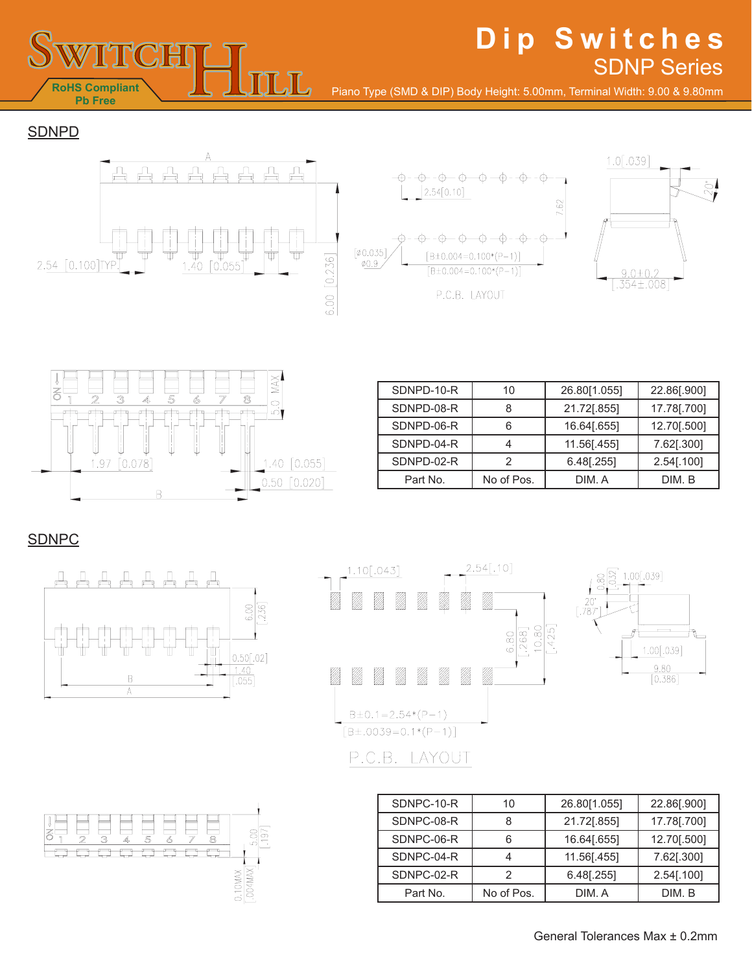

# **Dip Switches** SDNP Series

Piano Type (SMD & DIP) Body Height: 5.00mm, Terminal Width: 9.00 & 9.80mm

**SDNPD** 







| SDNPD-10-R | 10         | 26.80[1.055]  | 22.86[.900] |
|------------|------------|---------------|-------------|
| SDNPD-08-R | 8          | 21.72[.855]   | 17.78[.700] |
| SDNPD-06-R | 6          | 16.64[.655]   | 12.70[.500] |
| SDNPD-04-R |            | 11.56[.455]   | 7.62[.300]  |
| SDNPD-02-R | 2          | $6.48$ [.255] | 2.54[.100]  |
| Part No.   | No of Pos. | DIM. A        | DIM. B      |

### SDNPC







| SDNPC-10-R | 10         | 26.80[1.055] | 22.86[.900] |
|------------|------------|--------------|-------------|
| SDNPC-08-R | 8          | 21.72[.855]  | 17.78[.700] |
| SDNPC-06-R |            | 16.64[.655]  | 12.70[.500] |
| SDNPC-04-R |            | 11.56[.455]  | 7.62[.300]  |
| SDNPC-02-R |            | 6.48[.255]   | 2.54[.100]  |
| Part No.   | No of Pos. | DIM. A       | DIM. B      |